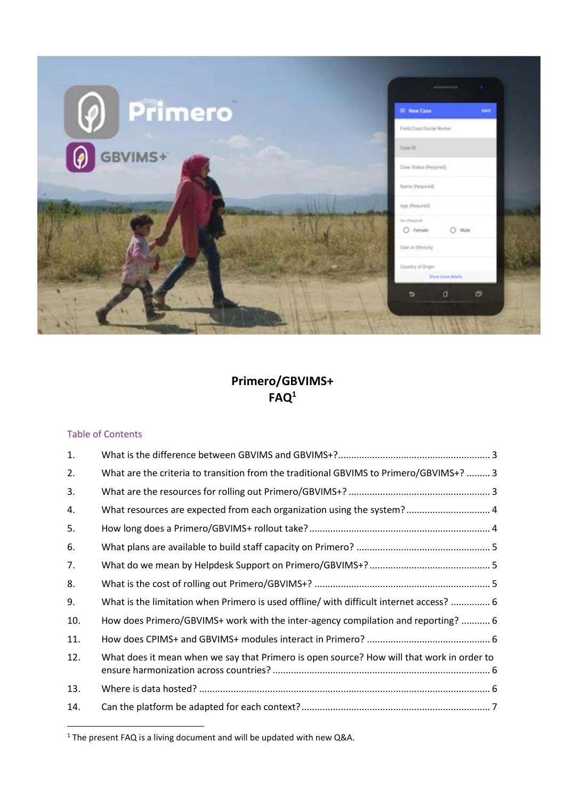

# **Primero/GBVIMS+ FAQ<sup>1</sup>**

## Table of Contents

j

| 1.  |                                                                                           |
|-----|-------------------------------------------------------------------------------------------|
| 2.  | What are the criteria to transition from the traditional GBVIMS to Primero/GBVIMS+?  3    |
| 3.  |                                                                                           |
| 4.  | What resources are expected from each organization using the system? 4                    |
| 5.  |                                                                                           |
| 6.  |                                                                                           |
| 7.  |                                                                                           |
| 8.  |                                                                                           |
| 9.  | What is the limitation when Primero is used offline/ with difficult internet access?  6   |
| 10. | How does Primero/GBVIMS+ work with the inter-agency compilation and reporting?  6         |
| 11. |                                                                                           |
| 12. | What does it mean when we say that Primero is open source? How will that work in order to |
| 13. |                                                                                           |
| 14. |                                                                                           |

<sup>1</sup> The present FAQ is a living document and will be updated with new Q&A.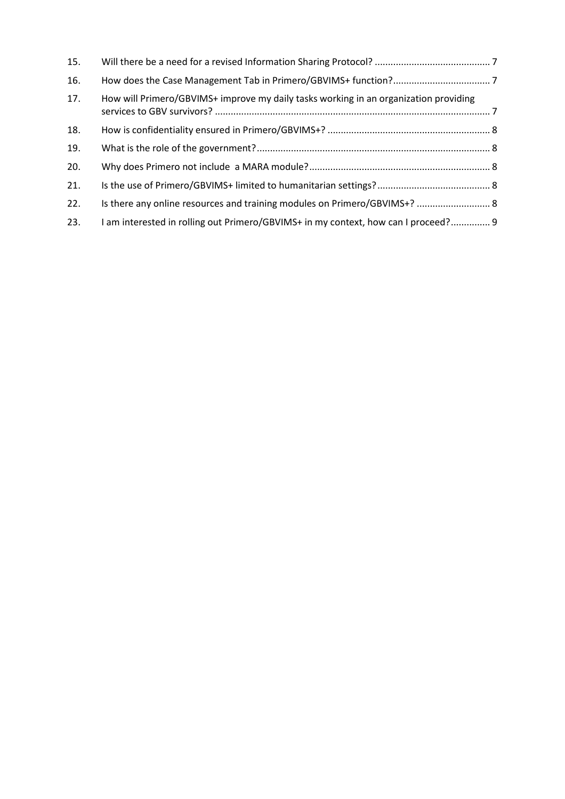| 15. |                                                                                      |  |
|-----|--------------------------------------------------------------------------------------|--|
| 16. |                                                                                      |  |
| 17. | How will Primero/GBVIMS+ improve my daily tasks working in an organization providing |  |
| 18. |                                                                                      |  |
| 19. |                                                                                      |  |
| 20. |                                                                                      |  |
| 21. |                                                                                      |  |
| 22. | Is there any online resources and training modules on Primero/GBVIMS+?  8            |  |
| 23. | I am interested in rolling out Primero/GBVIMS+ in my context, how can I proceed? 9   |  |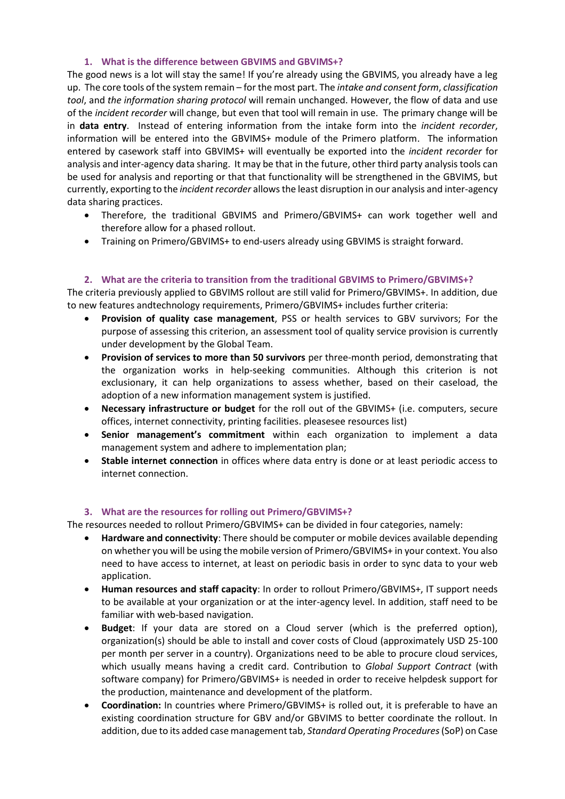## **1. What is the difference between GBVIMS and GBVIMS+?**

<span id="page-2-0"></span>The good news is a lot will stay the same! If you're already using the GBVIMS, you already have a leg up. The core tools of the system remain – for the most part. The *intake and consent form*, *classification tool*, and *the information sharing protocol* will remain unchanged. However, the flow of data and use of the *incident recorder* will change, but even that tool will remain in use. The primary change will be in **data entry**. Instead of entering information from the intake form into the *incident recorder*, information will be entered into the GBVIMS+ module of the Primero platform. The information entered by casework staff into GBVIMS+ will eventually be exported into the *incident recorder* for analysis and inter-agency data sharing. It may be that in the future, other third party analysis tools can be used for analysis and reporting or that that functionality will be strengthened in the GBVIMS, but currently, exporting to the *incident recorder* allows the least disruption in our analysis and inter-agency data sharing practices.

- Therefore, the traditional GBVIMS and Primero/GBVIMS+ can work together well and therefore allow for a phased rollout.
- Training on Primero/GBVIMS+ to end-users already using GBVIMS is straight forward.

## **2. What are the criteria to transition from the traditional GBVIMS to Primero/GBVIMS+?**

<span id="page-2-1"></span>The criteria previously applied to GBVIMS rollout are still valid for Primero/GBVIMS+. In addition, due to new features andtechnology requirements, Primero/GBVIMS+ includes further criteria:

- **Provision of quality case management**, PSS or health services to GBV survivors; For the purpose of assessing this criterion, an assessment tool of quality service provision is currently under development by the Global Team.
- **Provision of services to more than 50 survivors** per three-month period, demonstrating that the organization works in help-seeking communities. Although this criterion is not exclusionary, it can help organizations to assess whether, based on their caseload, the adoption of a new information management system is justified.
- **Necessary infrastructure or budget** for the roll out of the GBVIMS+ (i.e. computers, secure offices, internet connectivity, printing facilities. pleasesee resources list)
- **Senior management's commitment** within each organization to implement a data management system and adhere to implementation plan;
- **Stable internet connection** in offices where data entry is done or at least periodic access to internet connection.

### **3. What are the resources for rolling out Primero/GBVIMS+?**

<span id="page-2-2"></span>The resources needed to rollout Primero/GBVIMS+ can be divided in four categories, namely:

- **Hardware and connectivity**: There should be computer or mobile devices available depending on whether you will be using the mobile version of Primero/GBVIMS+ in your context. You also need to have access to internet, at least on periodic basis in order to sync data to your web application.
- **Human resources and staff capacity**: In order to rollout Primero/GBVIMS+, IT support needs to be available at your organization or at the inter-agency level. In addition, staff need to be familiar with web-based navigation.
- **Budget**: If your data are stored on a Cloud server (which is the preferred option), organization(s) should be able to install and cover costs of Cloud (approximately USD 25-100 per month per server in a country). Organizations need to be able to procure cloud services, which usually means having a credit card. Contribution to *Global Support Contract* (with software company) for Primero/GBVIMS+ is needed in order to receive helpdesk support for the production, maintenance and development of the platform.
- **Coordination:** In countries where Primero/GBVIMS+ is rolled out, it is preferable to have an existing coordination structure for GBV and/or GBVIMS to better coordinate the rollout. In addition, due to its added case management tab, *Standard Operating Procedures*(SoP) on Case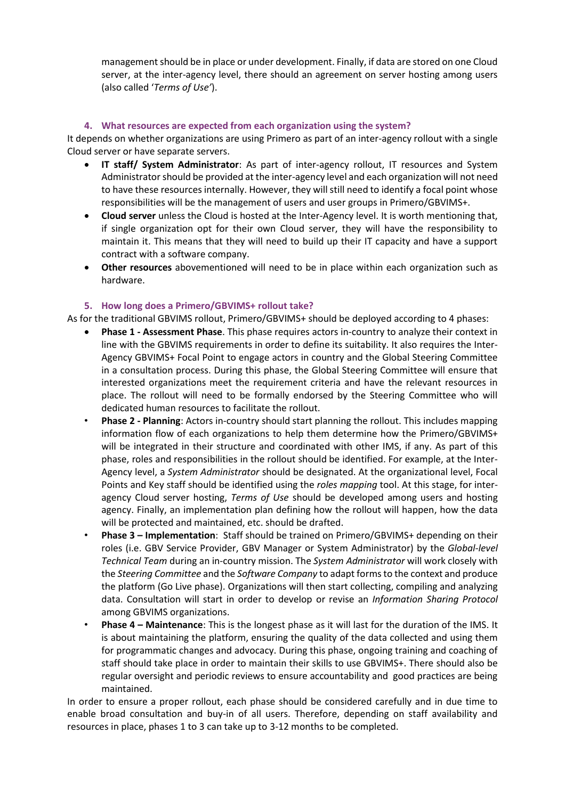management should be in place or under development. Finally, if data are stored on one Cloud server, at the inter-agency level, there should an agreement on server hosting among users (also called '*Terms of Use'*).

## **4. What resources are expected from each organization using the system?**

<span id="page-3-0"></span>It depends on whether organizations are using Primero as part of an inter-agency rollout with a single Cloud server or have separate servers.

- **IT staff/ System Administrator**: As part of inter-agency rollout, IT resources and System Administrator should be provided at the inter-agency level and each organization will not need to have these resources internally. However, they will still need to identify a focal point whose responsibilities will be the management of users and user groups in Primero/GBVIMS+.
- **Cloud server** unless the Cloud is hosted at the Inter-Agency level. It is worth mentioning that, if single organization opt for their own Cloud server, they will have the responsibility to maintain it. This means that they will need to build up their IT capacity and have a support contract with a software company.
- **Other resources** abovementioned will need to be in place within each organization such as hardware.

## **5. How long does a Primero/GBVIMS+ rollout take?**

<span id="page-3-1"></span>As for the traditional GBVIMS rollout, Primero/GBVIMS+ should be deployed according to 4 phases:

- **Phase 1 - Assessment Phase**. This phase requires actors in-country to analyze their context in line with the GBVIMS requirements in order to define its suitability. It also requires the Inter-Agency GBVIMS+ Focal Point to engage actors in country and the Global Steering Committee in a consultation process. During this phase, the Global Steering Committee will ensure that interested organizations meet the requirement criteria and have the relevant resources in place. The rollout will need to be formally endorsed by the Steering Committee who will dedicated human resources to facilitate the rollout.
- **Phase 2 - Planning**: Actors in-country should start planning the rollout. This includes mapping information flow of each organizations to help them determine how the Primero/GBVIMS+ will be integrated in their structure and coordinated with other IMS, if any. As part of this phase, roles and responsibilities in the rollout should be identified. For example, at the Inter-Agency level, a *System Administrator* should be designated. At the organizational level, Focal Points and Key staff should be identified using the *roles mapping* tool. At this stage, for interagency Cloud server hosting, *Terms of Use* should be developed among users and hosting agency. Finally, an implementation plan defining how the rollout will happen, how the data will be protected and maintained, etc. should be drafted.
- **Phase 3 – Implementation**: Staff should be trained on Primero/GBVIMS+ depending on their roles (i.e. GBV Service Provider, GBV Manager or System Administrator) by the *Global-level Technical Team* during an in-country mission. The *System Administrator* will work closely with the *Steering Committee* and the *Software Company* to adapt forms to the context and produce the platform (Go Live phase). Organizations will then start collecting, compiling and analyzing data. Consultation will start in order to develop or revise an *Information Sharing Protocol* among GBVIMS organizations.
- **Phase 4 – Maintenance**: This is the longest phase as it will last for the duration of the IMS. It is about maintaining the platform, ensuring the quality of the data collected and using them for programmatic changes and advocacy. During this phase, ongoing training and coaching of staff should take place in order to maintain their skills to use GBVIMS+. There should also be regular oversight and periodic reviews to ensure accountability and good practices are being maintained.

In order to ensure a proper rollout, each phase should be considered carefully and in due time to enable broad consultation and buy-in of all users. Therefore, depending on staff availability and resources in place, phases 1 to 3 can take up to 3-12 months to be completed.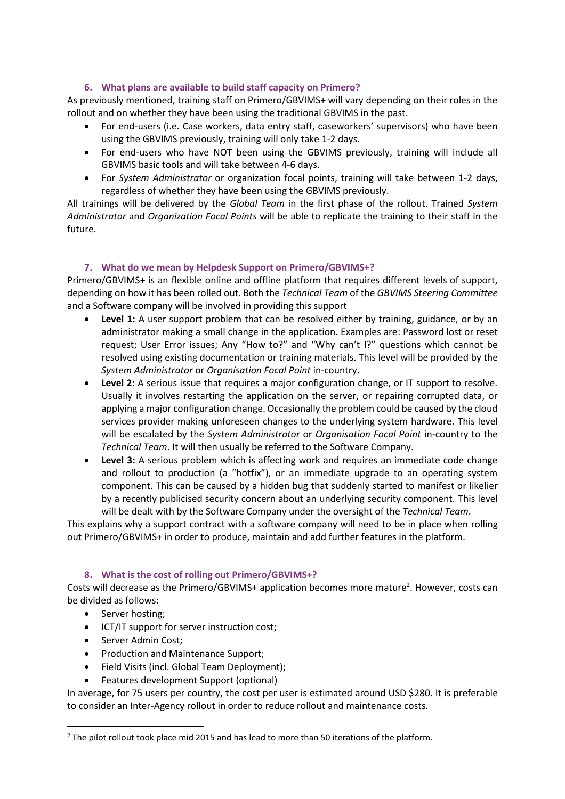## **6. What plans are available to build staff capacity on Primero?**

<span id="page-4-0"></span>As previously mentioned, training staff on Primero/GBVIMS+ will vary depending on their roles in the rollout and on whether they have been using the traditional GBVIMS in the past.

- For end-users (i.e. Case workers, data entry staff, caseworkers' supervisors) who have been using the GBVIMS previously, training will only take 1-2 days.
- For end-users who have NOT been using the GBVIMS previously, training will include all GBVIMS basic tools and will take between 4-6 days.
- For *System Administrator* or organization focal points, training will take between 1-2 days, regardless of whether they have been using the GBVIMS previously.

All trainings will be delivered by the *Global Team* in the first phase of the rollout. Trained *System Administrator* and *Organization Focal Points* will be able to replicate the training to their staff in the future.

## **7. What do we mean by Helpdesk Support on Primero/GBVIMS+?**

<span id="page-4-1"></span>Primero/GBVIMS+ is an flexible online and offline platform that requires different levels of support, depending on how it has been rolled out. Both the *Technical Team* of the *GBVIMS Steering Committee* and a Software company will be involved in providing this support

- Level 1: A user support problem that can be resolved either by training, guidance, or by an administrator making a small change in the application. Examples are: Password lost or reset request; User Error issues; Any "How to?" and "Why can't I?" questions which cannot be resolved using existing documentation or training materials. This level will be provided by the *System Administrator* or *Organisation Focal Point* in-country.
- **Level 2:** A serious issue that requires a major configuration change, or IT support to resolve. Usually it involves restarting the application on the server, or repairing corrupted data, or applying a major configuration change. Occasionally the problem could be caused by the cloud services provider making unforeseen changes to the underlying system hardware. This level will be escalated by the *System Administrator* or *Organisation Focal Point* in-country to the *Technical Team*. It will then usually be referred to the Software Company.
- **Level 3:** A serious problem which is affecting work and requires an immediate code change and rollout to production (a "hotfix"), or an immediate upgrade to an operating system component. This can be caused by a hidden bug that suddenly started to manifest or likelier by a recently publicised security concern about an underlying security component. This level will be dealt with by the Software Company under the oversight of the *Technical Team*.

This explains why a support contract with a software company will need to be in place when rolling out Primero/GBVIMS+ in order to produce, maintain and add further features in the platform.

### **8. What is the cost of rolling out Primero/GBVIMS+?**

<span id="page-4-2"></span>Costs will decrease as the Primero/GBVIMS+ application becomes more mature<sup>2</sup>. However, costs can be divided as follows:

• Server hosting;

j

- ICT/IT support for server instruction cost;
- Server Admin Cost;
- Production and Maintenance Support;
- Field Visits (incl. Global Team Deployment);
- Features development Support (optional)

In average, for 75 users per country, the cost per user is estimated around USD \$280. It is preferable to consider an Inter-Agency rollout in order to reduce rollout and maintenance costs.

<sup>&</sup>lt;sup>2</sup> The pilot rollout took place mid 2015 and has lead to more than 50 iterations of the platform.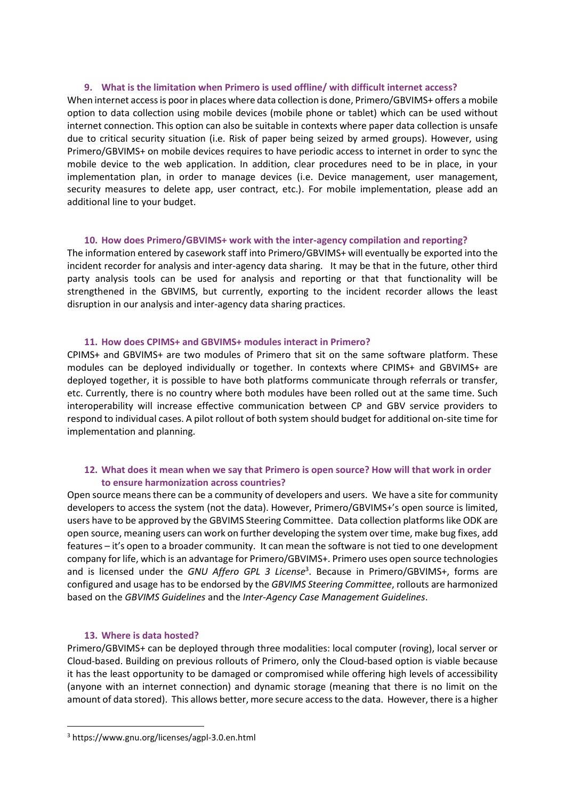#### **9. What is the limitation when Primero is used offline/ with difficult internet access?**

<span id="page-5-0"></span>When internet access is poor in places where data collection is done, Primero/GBVIMS+ offers a mobile option to data collection using mobile devices (mobile phone or tablet) which can be used without internet connection. This option can also be suitable in contexts where paper data collection is unsafe due to critical security situation (i.e. Risk of paper being seized by armed groups). However, using Primero/GBVIMS+ on mobile devices requires to have periodic access to internet in order to sync the mobile device to the web application. In addition, clear procedures need to be in place, in your implementation plan, in order to manage devices (i.e. Device management, user management, security measures to delete app, user contract, etc.). For mobile implementation, please add an additional line to your budget.

#### **10. How does Primero/GBVIMS+ work with the inter-agency compilation and reporting?**

<span id="page-5-1"></span>The information entered by casework staff into Primero/GBVIMS+ will eventually be exported into the incident recorder for analysis and inter-agency data sharing. It may be that in the future, other third party analysis tools can be used for analysis and reporting or that that functionality will be strengthened in the GBVIMS, but currently, exporting to the incident recorder allows the least disruption in our analysis and inter-agency data sharing practices.

#### **11. How does CPIMS+ and GBVIMS+ modules interact in Primero?**

<span id="page-5-2"></span>CPIMS+ and GBVIMS+ are two modules of Primero that sit on the same software platform. These modules can be deployed individually or together. In contexts where CPIMS+ and GBVIMS+ are deployed together, it is possible to have both platforms communicate through referrals or transfer, etc. Currently, there is no country where both modules have been rolled out at the same time. Such interoperability will increase effective communication between CP and GBV service providers to respond to individual cases. A pilot rollout of both system should budget for additional on-site time for implementation and planning.

### <span id="page-5-3"></span>**12. What does it mean when we say that Primero is open source? How will that work in order to ensure harmonization across countries?**

Open source means there can be a community of developers and users. We have a site for community developers to access the system (not the data). However, Primero/GBVIMS+'s open source is limited, users have to be approved by the GBVIMS Steering Committee. Data collection platforms like ODK are open source, meaning users can work on further developing the system over time, make bug fixes, add features – it's open to a broader community. It can mean the software is not tied to one development company for life, which is an advantage for Primero/GBVIMS+. Primero uses open source technologies and is licensed under the *GNU Affero GPL 3 License*<sup>3</sup> . Because in Primero/GBVIMS+, forms are configured and usage has to be endorsed by the *GBVIMS Steering Committee*, rollouts are harmonized based on the *GBVIMS Guidelines* and the *Inter-Agency Case Management Guidelines*.

### **13. Where is data hosted?**

j

<span id="page-5-4"></span>Primero/GBVIMS+ can be deployed through three modalities: local computer (roving), local server or Cloud-based. Building on previous rollouts of Primero, only the Cloud-based option is viable because it has the least opportunity to be damaged or compromised while offering high levels of accessibility (anyone with an internet connection) and dynamic storage (meaning that there is no limit on the amount of data stored). This allows better, more secure access to the data. However, there is a higher

<sup>3</sup> <https://www.gnu.org/licenses/agpl-3.0.en.html>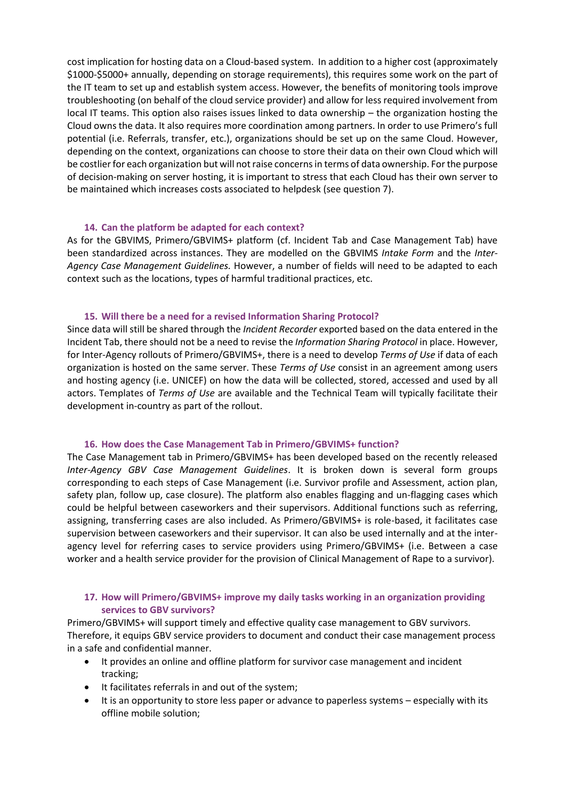cost implication for hosting data on a Cloud-based system. In addition to a higher cost (approximately \$1000-\$5000+ annually, depending on storage requirements), this requires some work on the part of the IT team to set up and establish system access. However, the benefits of monitoring tools improve troubleshooting (on behalf of the cloud service provider) and allow for less required involvement from local IT teams. This option also raises issues linked to data ownership – the organization hosting the Cloud owns the data. It also requires more coordination among partners. In order to use Primero's full potential (i.e. Referrals, transfer, etc.), organizations should be set up on the same Cloud. However, depending on the context, organizations can choose to store their data on their own Cloud which will be costlier for each organization but will not raise concerns in terms of data ownership. For the purpose of decision-making on server hosting, it is important to stress that each Cloud has their own server to be maintained which increases costs associated to helpdesk (see question 7).

#### **14. Can the platform be adapted for each context?**

<span id="page-6-0"></span>As for the GBVIMS, Primero/GBVIMS+ platform (cf. Incident Tab and Case Management Tab) have been standardized across instances. They are modelled on the GBVIMS *Intake Form* and the *Inter-Agency Case Management Guidelines.* However, a number of fields will need to be adapted to each context such as the locations, types of harmful traditional practices, etc.

#### **15. Will there be a need for a revised Information Sharing Protocol?**

<span id="page-6-1"></span>Since data will still be shared through the *Incident Recorder* exported based on the data entered in the Incident Tab, there should not be a need to revise the *Information Sharing Protocol* in place. However, for Inter-Agency rollouts of Primero/GBVIMS+, there is a need to develop *Terms of Use* if data of each organization is hosted on the same server. These *Terms of Use* consist in an agreement among users and hosting agency (i.e. UNICEF) on how the data will be collected, stored, accessed and used by all actors. Templates of *Terms of Use* are available and the Technical Team will typically facilitate their development in-country as part of the rollout.

#### **16. How does the Case Management Tab in Primero/GBVIMS+ function?**

<span id="page-6-2"></span>The Case Management tab in Primero/GBVIMS+ has been developed based on the recently released *Inter-Agency GBV Case Management Guidelines*. It is broken down is several form groups corresponding to each steps of Case Management (i.e. Survivor profile and Assessment, action plan, safety plan, follow up, case closure). The platform also enables flagging and un-flagging cases which could be helpful between caseworkers and their supervisors. Additional functions such as referring, assigning, transferring cases are also included. As Primero/GBVIMS+ is role-based, it facilitates case supervision between caseworkers and their supervisor. It can also be used internally and at the interagency level for referring cases to service providers using Primero/GBVIMS+ (i.e. Between a case worker and a health service provider for the provision of Clinical Management of Rape to a survivor).

### <span id="page-6-3"></span>**17. How will Primero/GBVIMS+ improve my daily tasks working in an organization providing services to GBV survivors?**

Primero/GBVIMS+ will support timely and effective quality case management to GBV survivors. Therefore, it equips GBV service providers to document and conduct their case management process in a safe and confidential manner.

- It provides an online and offline platform for survivor case management and incident tracking;
- It facilitates referrals in and out of the system;
- It is an opportunity to store less paper or advance to paperless systems especially with its offline mobile solution;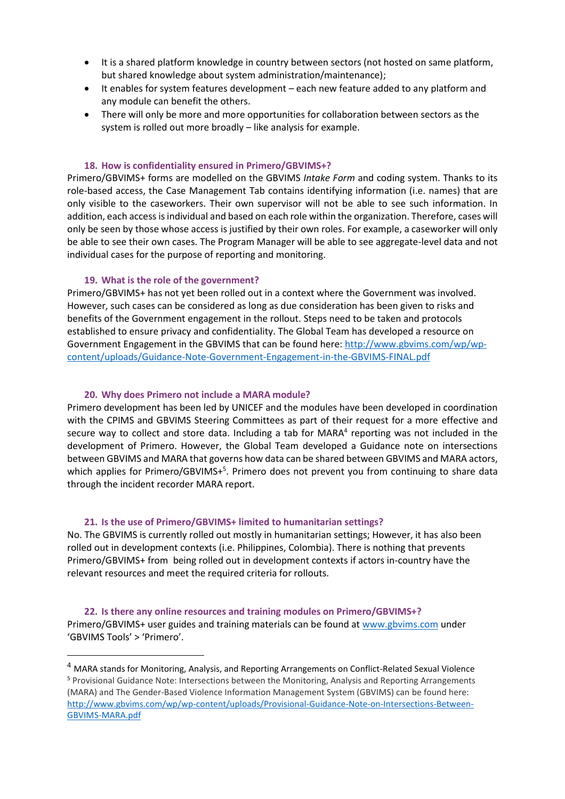- It is a shared platform knowledge in country between sectors (not hosted on same platform, but shared knowledge about system administration/maintenance);
- It enables for system features development each new feature added to any platform and any module can benefit the others.
- There will only be more and more opportunities for collaboration between sectors as the system is rolled out more broadly – like analysis for example.

#### **18. How is confidentiality ensured in Primero/GBVIMS+?**

<span id="page-7-0"></span>Primero/GBVIMS+ forms are modelled on the GBVIMS *Intake Form* and coding system. Thanks to its role-based access, the Case Management Tab contains identifying information (i.e. names) that are only visible to the caseworkers. Their own supervisor will not be able to see such information. In addition, each access is individual and based on each role within the organization. Therefore, cases will only be seen by those whose access is justified by their own roles. For example, a caseworker will only be able to see their own cases. The Program Manager will be able to see aggregate-level data and not individual cases for the purpose of reporting and monitoring.

#### **19. What is the role of the government?**

 $\overline{a}$ 

<span id="page-7-1"></span>Primero/GBVIMS+ has not yet been rolled out in a context where the Government was involved. However, such cases can be considered as long as due consideration has been given to risks and benefits of the Government engagement in the rollout. Steps need to be taken and protocols established to ensure privacy and confidentiality. The Global Team has developed a resource on Government Engagement in the GBVIMS that can be found here: [http://www.gbvims.com/wp/wp](http://www.gbvims.com/wp/wp-content/uploads/Guidance-Note-Government-Engagement-in-the-GBVIMS-FINAL.pdf)[content/uploads/Guidance-Note-Government-Engagement-in-the-GBVIMS-FINAL.pdf](http://www.gbvims.com/wp/wp-content/uploads/Guidance-Note-Government-Engagement-in-the-GBVIMS-FINAL.pdf)

#### **20. Why does Primero not include a MARA module?**

<span id="page-7-2"></span>Primero development has been led by UNICEF and the modules have been developed in coordination with the CPIMS and GBVIMS Steering Committees as part of their request for a more effective and secure way to collect and store data. Including a tab for MARA<sup>4</sup> reporting was not included in the development of Primero. However, the Global Team developed a Guidance note on intersections between GBVIMS and MARA that governs how data can be shared between GBVIMS and MARA actors, which applies for Primero/GBVIMS+<sup>5</sup>. Primero does not prevent you from continuing to share data through the incident recorder MARA report.

#### **21. Is the use of Primero/GBVIMS+ limited to humanitarian settings?**

<span id="page-7-3"></span>No. The GBVIMS is currently rolled out mostly in humanitarian settings; However, it has also been rolled out in development contexts (i.e. Philippines, Colombia). There is nothing that prevents Primero/GBVIMS+ from being rolled out in development contexts if actors in-country have the relevant resources and meet the required criteria for rollouts.

<span id="page-7-4"></span>**22. Is there any online resources and training modules on Primero/GBVIMS+?** Primero/GBVIMS+ user guides and training materials can be found a[t www.gbvims.com](http://www.gbvims.com/) under 'GBVIMS Tools' > 'Primero'.

<sup>4</sup> MARA stands for Monitoring, Analysis, and Reporting Arrangements on Conflict-Related Sexual Violence <sup>5</sup> Provisional Guidance Note: Intersections between the Monitoring, Analysis and Reporting Arrangements (MARA) and The Gender-Based Violence Information Management System (GBVIMS) can be found here: [http://www.gbvims.com/wp/wp-content/uploads/Provisional-Guidance-Note-on-Intersections-Between-](http://www.gbvims.com/wp/wp-content/uploads/Provisional-Guidance-Note-on-Intersections-Between-GBVIMS-MARA.pdf)[GBVIMS-MARA.pdf](http://www.gbvims.com/wp/wp-content/uploads/Provisional-Guidance-Note-on-Intersections-Between-GBVIMS-MARA.pdf)